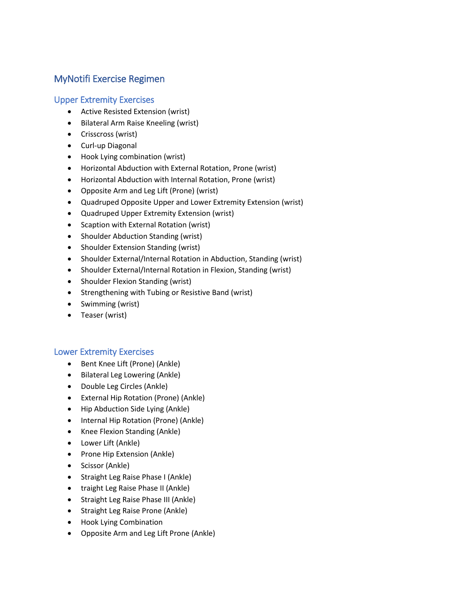# MyNotifi Exercise Regimen

### Upper Extremity Exercises

- Active Resisted Extension (wrist)
- Bilateral Arm Raise Kneeling (wrist)
- Crisscross (wrist)
- Curl-up Diagonal
- Hook Lying combination (wrist)
- Horizontal Abduction with External Rotation, Prone (wrist)
- Horizontal Abduction with Internal Rotation, Prone (wrist)
- Opposite Arm and Leg Lift (Prone) (wrist)
- Quadruped Opposite Upper and Lower Extremity Extension (wrist)
- Quadruped Upper Extremity Extension (wrist)
- Scaption with External Rotation (wrist)
- Shoulder Abduction Standing (wrist)
- Shoulder Extension Standing (wrist)
- Shoulder External/Internal Rotation in Abduction, Standing (wrist)
- Shoulder External/Internal Rotation in Flexion, Standing (wrist)
- Shoulder Flexion Standing (wrist)
- Strengthening with Tubing or Resistive Band (wrist)
- Swimming (wrist)
- Teaser (wrist)

## Lower Extremity Exercises

- Bent Knee Lift (Prone) (Ankle)
- Bilateral Leg Lowering (Ankle)
- Double Leg Circles (Ankle)
- External Hip Rotation (Prone) (Ankle)
- Hip Abduction Side Lying (Ankle)
- Internal Hip Rotation (Prone) (Ankle)
- Knee Flexion Standing (Ankle)
- Lower Lift (Ankle)
- Prone Hip Extension (Ankle)
- Scissor (Ankle)
- Straight Leg Raise Phase I (Ankle)
- traight Leg Raise Phase II (Ankle)
- Straight Leg Raise Phase III (Ankle)
- Straight Leg Raise Prone (Ankle)
- Hook Lying Combination
- Opposite Arm and Leg Lift Prone (Ankle)